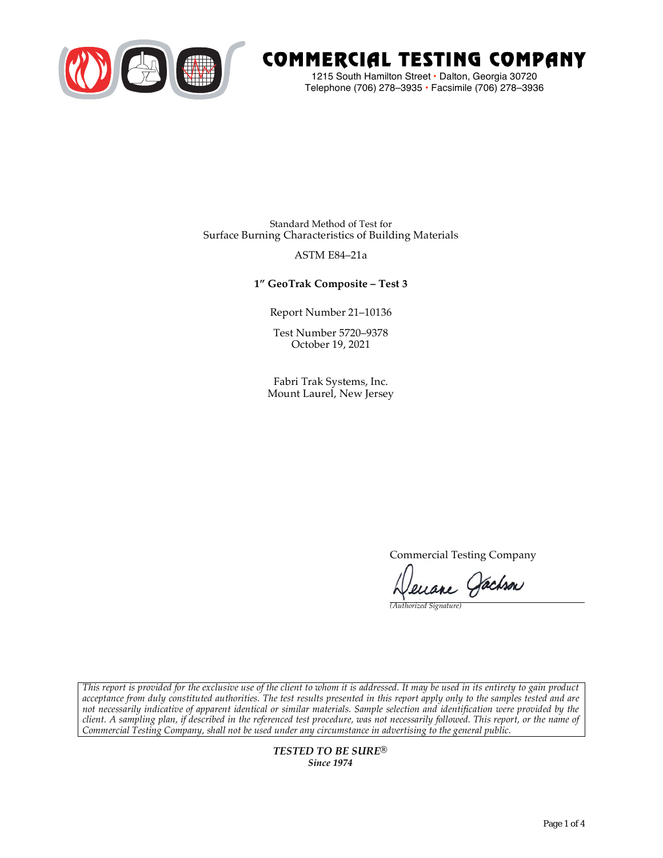

# COMMERCIAL TESTING COMPANY

1215 South Hamilton Street • Dalton, Georgia 30720 Telephone (706) 278–3935 **•** Facsimile (706) 278–3936

Standard Method of Test for Surface Burning Characteristics of Building Materials

### ASTM E84–21a

**1" GeoTrak Composite – Test 3**

Report Number 21–10136

Test Number 5720–9378 October 19, 2021

Fabri Trak Systems, Inc. Mount Laurel, New Jersey

Commercial Testing Company

enane Jachson

*(Authorized Signature)* 

*This report is provided for the exclusive use of the client to whom it is addressed. It may be used in its entirety to gain product acceptance from duly constituted authorities. The test results presented in this report apply only to the samples tested and are not necessarily indicative of apparent identical or similar materials. Sample selection and identification were provided by the client. A sampling plan, if described in the referenced test procedure, was not necessarily followed. This report, or the name of Commercial Testing Company, shall not be used under any circumstance in advertising to the general public.* 

> *TESTED TO BE SURE® Since 1974*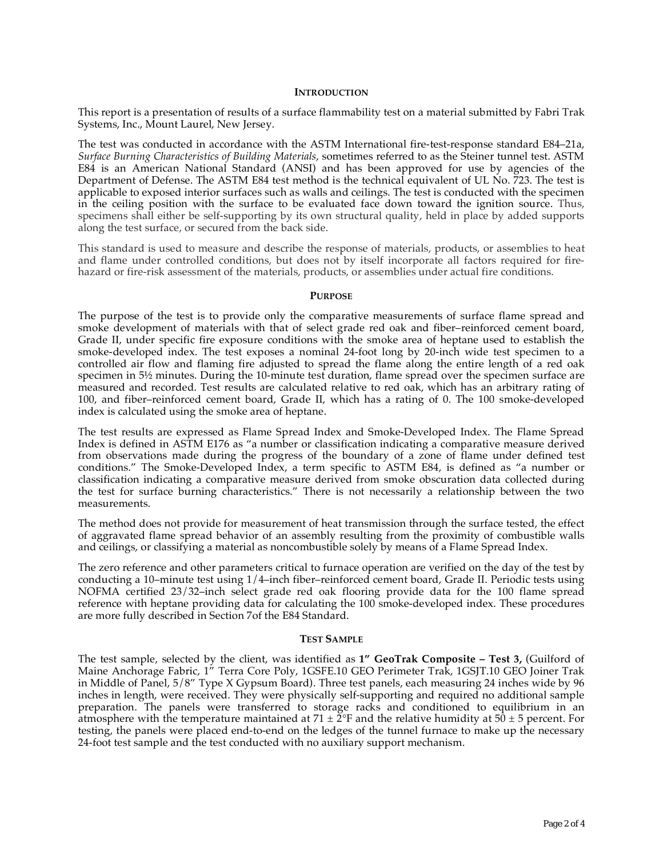#### **INTRODUCTION**

This report is a presentation of results of a surface flammability test on a material submitted by Fabri Trak Systems, Inc., Mount Laurel, New Jersey.

The test was conducted in accordance with the ASTM International fire-test-response standard E84–21a, *Surface Burning Characteristics of Building Materials*, sometimes referred to as the Steiner tunnel test. ASTM E84 is an American National Standard (ANSI) and has been approved for use by agencies of the Department of Defense. The ASTM E84 test method is the technical equivalent of UL No. 723. The test is applicable to exposed interior surfaces such as walls and ceilings. The test is conducted with the specimen in the ceiling position with the surface to be evaluated face down toward the ignition source. Thus, specimens shall either be self-supporting by its own structural quality, held in place by added supports along the test surface, or secured from the back side.

This standard is used to measure and describe the response of materials, products, or assemblies to heat and flame under controlled conditions, but does not by itself incorporate all factors required for firehazard or fire-risk assessment of the materials, products, or assemblies under actual fire conditions.

#### **PURPOSE**

The purpose of the test is to provide only the comparative measurements of surface flame spread and smoke development of materials with that of select grade red oak and fiber–reinforced cement board, Grade II, under specific fire exposure conditions with the smoke area of heptane used to establish the smoke-developed index. The test exposes a nominal 24-foot long by 20-inch wide test specimen to a controlled air flow and flaming fire adjusted to spread the flame along the entire length of a red oak specimen in  $5\frac{1}{2}$  minutes. During the 10-minute test duration, flame spread over the specimen surface are measured and recorded. Test results are calculated relative to red oak, which has an arbitrary rating of 100, and fiber–reinforced cement board, Grade II, which has a rating of 0. The 100 smoke-developed index is calculated using the smoke area of heptane.

The test results are expressed as Flame Spread Index and Smoke-Developed Index. The Flame Spread Index is defined in ASTM E176 as "a number or classification indicating a comparative measure derived from observations made during the progress of the boundary of a zone of flame under defined test conditions." The Smoke-Developed Index, a term specific to ASTM E84, is defined as "a number or classification indicating a comparative measure derived from smoke obscuration data collected during the test for surface burning characteristics." There is not necessarily a relationship between the two measurements.

The method does not provide for measurement of heat transmission through the surface tested, the effect of aggravated flame spread behavior of an assembly resulting from the proximity of combustible walls and ceilings, or classifying a material as noncombustible solely by means of a Flame Spread Index.

The zero reference and other parameters critical to furnace operation are verified on the day of the test by conducting a 10–minute test using 1/4–inch fiber–reinforced cement board, Grade II. Periodic tests using NOFMA certified 23/32–inch select grade red oak flooring provide data for the 100 flame spread reference with heptane providing data for calculating the 100 smoke-developed index. These procedures are more fully described in Section 7of the E84 Standard.

#### **TEST SAMPLE**

The test sample, selected by the client, was identified as **1" GeoTrak Composite – Test 3,** (Guilford of Maine Anchorage Fabric, 1" Terra Core Poly, 1GSFE.10 GEO Perimeter Trak, 1GSJT.10 GEO Joiner Trak in Middle of Panel, 5/8" Type X Gypsum Board). Three test panels, each measuring 24 inches wide by 96 inches in length, were received. They were physically self-supporting and required no additional sample preparation. The panels were transferred to storage racks and conditioned to equilibrium in an atmosphere with the temperature maintained at  $71 \pm 2$ °F and the relative humidity at  $50 \pm 5$  percent. For testing, the panels were placed end-to-end on the ledges of the tunnel furnace to make up the necessary 24-foot test sample and the test conducted with no auxiliary support mechanism.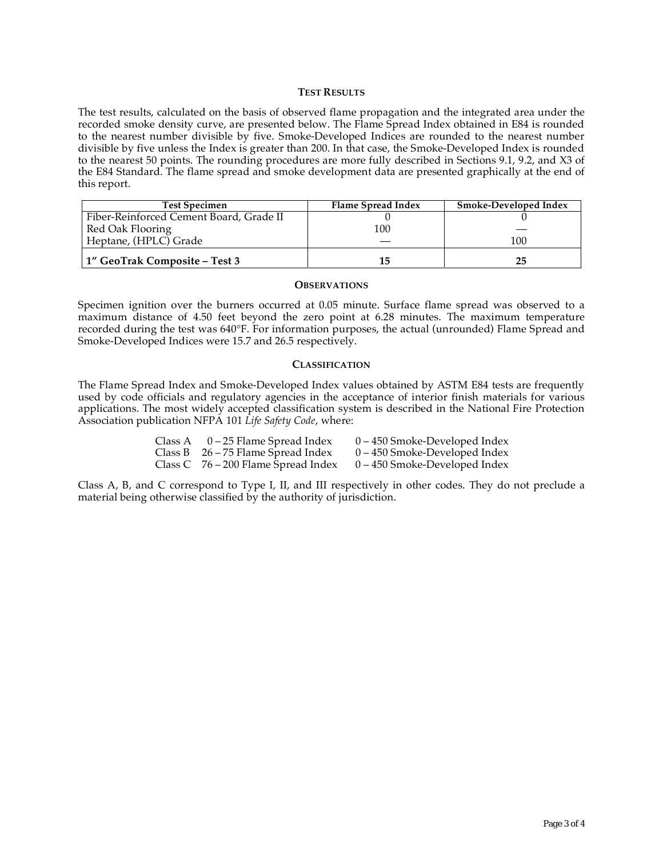#### **TEST RESULTS**

The test results, calculated on the basis of observed flame propagation and the integrated area under the recorded smoke density curve, are presented below. The Flame Spread Index obtained in E84 is rounded to the nearest number divisible by five. Smoke-Developed Indices are rounded to the nearest number divisible by five unless the Index is greater than 200. In that case, the Smoke-Developed Index is rounded to the nearest 50 points. The rounding procedures are more fully described in Sections 9.1, 9.2, and X3 of the E84 Standard. The flame spread and smoke development data are presented graphically at the end of this report.

| <b>Test Specimen</b>                    | Flame Spread Index | Smoke-Developed Index |
|-----------------------------------------|--------------------|-----------------------|
| Fiber-Reinforced Cement Board, Grade II |                    |                       |
| Red Oak Flooring                        | 100                |                       |
| Heptane, (HPLC) Grade                   |                    | 100                   |
| 1" GeoTrak Composite – Test 3           | 15                 | 25                    |

#### **OBSERVATIONS**

Specimen ignition over the burners occurred at 0.05 minute. Surface flame spread was observed to a maximum distance of 4.50 feet beyond the zero point at 6.28 minutes. The maximum temperature recorded during the test was 640°F. For information purposes, the actual (unrounded) Flame Spread and Smoke-Developed Indices were 15.7 and 26.5 respectively.

#### **CLASSIFICATION**

The Flame Spread Index and Smoke-Developed Index values obtained by ASTM E84 tests are frequently used by code officials and regulatory agencies in the acceptance of interior finish materials for various applications. The most widely accepted classification system is described in the National Fire Protection Association publication NFPA 101 *Life Safety Code*, where:

| Class A $0-25$ Flame Spread Index     | $0 - 450$ Smoke-Developed Index |
|---------------------------------------|---------------------------------|
| Class B $26 - 75$ Flame Spread Index  | $0 - 450$ Smoke-Developed Index |
| Class C $76 - 200$ Flame Spread Index | $0 - 450$ Smoke-Developed Index |

Class A, B, and C correspond to Type I, II, and III respectively in other codes. They do not preclude a material being otherwise classified by the authority of jurisdiction.